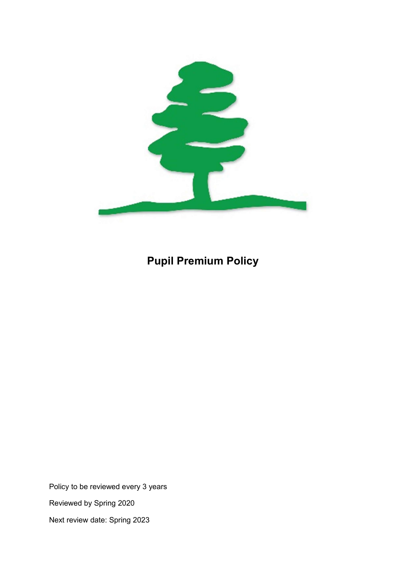

# Pupil Premium Policy

Policy to be reviewed every 3 years Reviewed by Spring 2020 Next review date: Spring 2023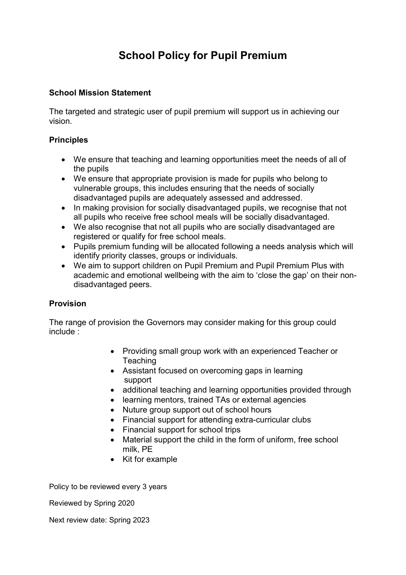## School Policy for Pupil Premium

### School Mission Statement

The targeted and strategic user of pupil premium will support us in achieving our vision.

### **Principles**

- We ensure that teaching and learning opportunities meet the needs of all of the pupils
- We ensure that appropriate provision is made for pupils who belong to vulnerable groups, this includes ensuring that the needs of socially disadvantaged pupils are adequately assessed and addressed.
- In making provision for socially disadvantaged pupils, we recognise that not all pupils who receive free school meals will be socially disadvantaged.
- We also recognise that not all pupils who are socially disadvantaged are registered or qualify for free school meals.
- Pupils premium funding will be allocated following a needs analysis which will identify priority classes, groups or individuals.
- We aim to support children on Pupil Premium and Pupil Premium Plus with academic and emotional wellbeing with the aim to 'close the gap' on their nondisadvantaged peers.

### Provision

The range of provision the Governors may consider making for this group could include :

- Providing small group work with an experienced Teacher or **Teaching**
- Assistant focused on overcoming gaps in learning support
- additional teaching and learning opportunities provided through
- learning mentors, trained TAs or external agencies
- Nuture group support out of school hours
- Financial support for attending extra-curricular clubs
- Financial support for school trips
- Material support the child in the form of uniform, free school milk, PE
- Kit for example

Policy to be reviewed every 3 years

Reviewed by Spring 2020

Next review date: Spring 2023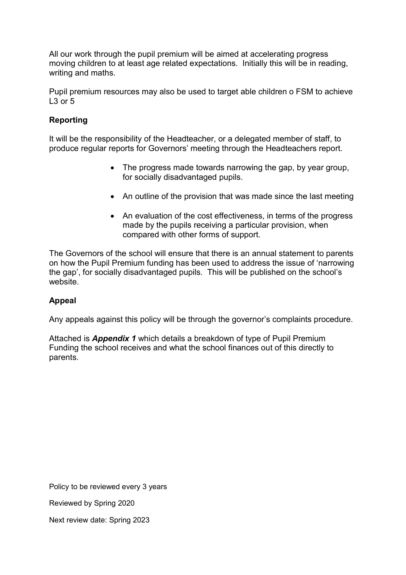All our work through the pupil premium will be aimed at accelerating progress moving children to at least age related expectations. Initially this will be in reading, writing and maths.

Pupil premium resources may also be used to target able children o FSM to achieve L<sub>3</sub> or 5

### Reporting

It will be the responsibility of the Headteacher, or a delegated member of staff, to produce regular reports for Governors' meeting through the Headteachers report.

- The progress made towards narrowing the gap, by year group, for socially disadvantaged pupils.
- An outline of the provision that was made since the last meeting
- An evaluation of the cost effectiveness, in terms of the progress made by the pupils receiving a particular provision, when compared with other forms of support.

The Governors of the school will ensure that there is an annual statement to parents on how the Pupil Premium funding has been used to address the issue of 'narrowing the gap', for socially disadvantaged pupils. This will be published on the school's website.

### Appeal

Any appeals against this policy will be through the governor's complaints procedure.

Attached is **Appendix 1** which details a breakdown of type of Pupil Premium Funding the school receives and what the school finances out of this directly to parents.

Policy to be reviewed every 3 years

Reviewed by Spring 2020

Next review date: Spring 2023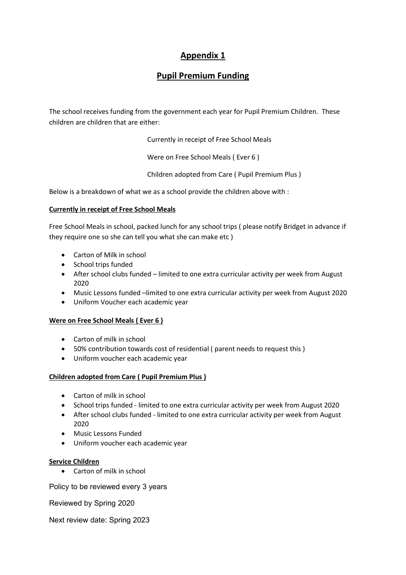### Appendix 1

### Pupil Premium Funding

The school receives funding from the government each year for Pupil Premium Children. These children are children that are either:

Currently in receipt of Free School Meals

Were on Free School Meals ( Ever 6 )

Children adopted from Care ( Pupil Premium Plus )

Below is a breakdown of what we as a school provide the children above with :

#### Currently in receipt of Free School Meals

Free School Meals in school, packed lunch for any school trips ( please notify Bridget in advance if they require one so she can tell you what she can make etc )

- Carton of Milk in school
- School trips funded
- After school clubs funded limited to one extra curricular activity per week from August 2020
- Music Lessons funded –limited to one extra curricular activity per week from August 2020
- Uniform Voucher each academic year

#### Were on Free School Meals (Ever 6)

- Carton of milk in school
- 50% contribution towards cost of residential ( parent needs to request this )
- Uniform voucher each academic year

#### Children adopted from Care ( Pupil Premium Plus )

- Carton of milk in school
- School trips funded limited to one extra curricular activity per week from August 2020
- After school clubs funded limited to one extra curricular activity per week from August 2020
- Music Lessons Funded
- Uniform voucher each academic year

#### Service Children

Carton of milk in school

Policy to be reviewed every 3 years

Reviewed by Spring 2020

Next review date: Spring 2023